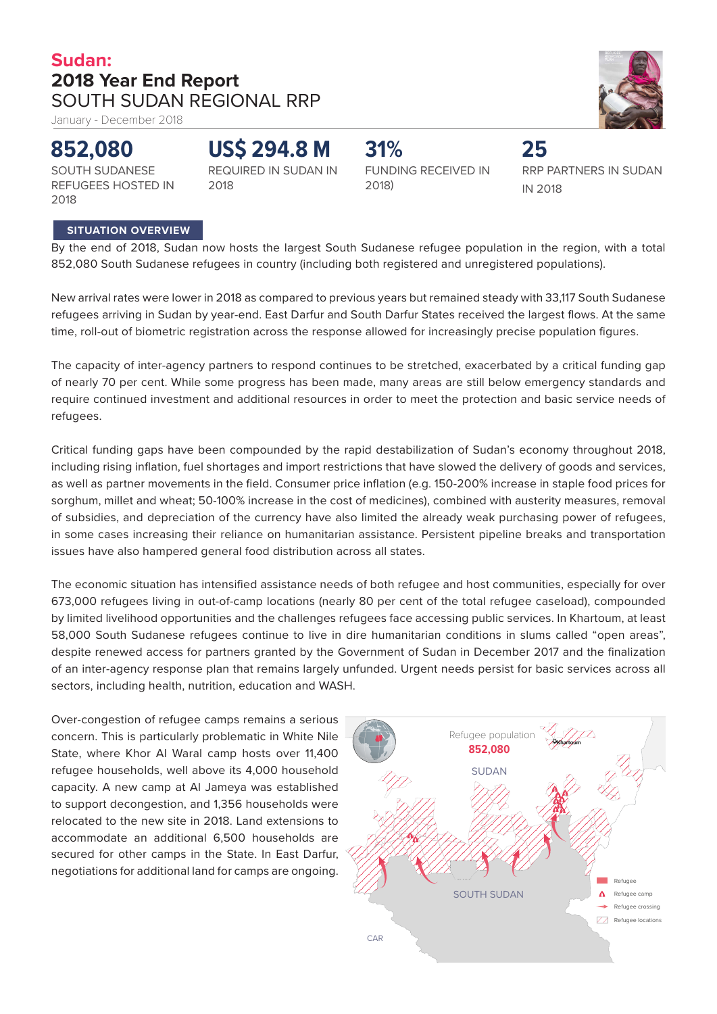## **Sudan: 2018 Year End Report**  SOUTH SUDAN REGIONAL RRP

2018

January - December 2018

## **852,080**

**US\$ 294.8 M**

SOUTH SUDANESE REFUGEES HOSTED IN 2018

REQUIRED IN SUDAN IN

FUNDING RECEIVED IN 2018)

RRP PARTNERS IN SUDAN IN 2018

**25**

### **SITUATION OVERVIEW**

By the end of 2018, Sudan now hosts the largest South Sudanese refugee population in the region, with a total 852,080 South Sudanese refugees in country (including both registered and unregistered populations).

**31%**

New arrival rates were lower in 2018 as compared to previous years but remained steady with 33,117 South Sudanese refugees arriving in Sudan by year-end. East Darfur and South Darfur States received the largest flows. At the same time, roll-out of biometric registration across the response allowed for increasingly precise population figures.

The capacity of inter-agency partners to respond continues to be stretched, exacerbated by a critical funding gap of nearly 70 per cent. While some progress has been made, many areas are still below emergency standards and require continued investment and additional resources in order to meet the protection and basic service needs of refugees.

Critical funding gaps have been compounded by the rapid destabilization of Sudan's economy throughout 2018, including rising inflation, fuel shortages and import restrictions that have slowed the delivery of goods and services, as well as partner movements in the field. Consumer price inflation (e.g. 150-200% increase in staple food prices for sorghum, millet and wheat; 50-100% increase in the cost of medicines), combined with austerity measures, removal of subsidies, and depreciation of the currency have also limited the already weak purchasing power of refugees, in some cases increasing their reliance on humanitarian assistance. Persistent pipeline breaks and transportation issues have also hampered general food distribution across all states.

The economic situation has intensified assistance needs of both refugee and host communities, especially for over 673,000 refugees living in out-of-camp locations (nearly 80 per cent of the total refugee caseload), compounded by limited livelihood opportunities and the challenges refugees face accessing public services. In Khartoum, at least 58,000 South Sudanese refugees continue to live in dire humanitarian conditions in slums called "open areas", despite renewed access for partners granted by the Government of Sudan in December 2017 and the finalization of an inter-agency response plan that remains largely unfunded. Urgent needs persist for basic services across all sectors, including health, nutrition, education and WASH.

Over-congestion of refugee camps remains a serious concern. This is particularly problematic in White Nile State, where Khor Al Waral camp hosts over 11,400 refugee households, well above its 4,000 household capacity. A new camp at Al Jameya was established to support decongestion, and 1,356 households were relocated to the new site in 2018. Land extensions to accommodate an additional 6,500 households are secured for other camps in the State. In East Darfur, negotiations for additional land for camps are ongoing.



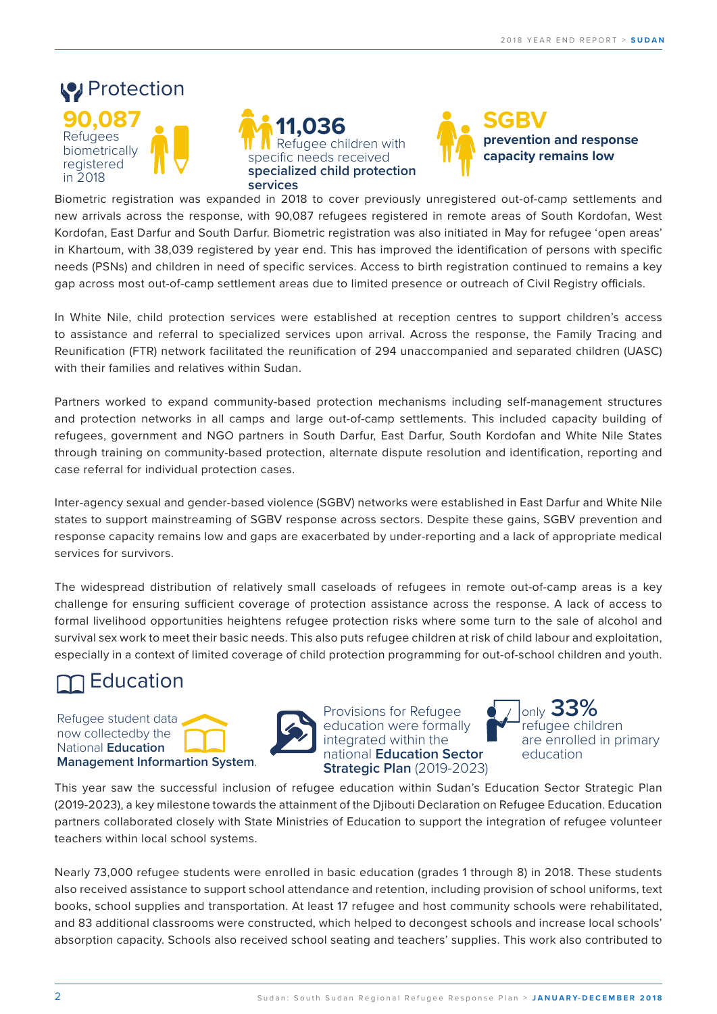## **Protection 90,087** Refugees biometrically registered in 2018

 $J_{\rm{max}}$  - December 2018 - December 2018 - December 2018 - December 2018 - December 2018 - December 2018 - December 2018 - December 2018 - December 2018 - December 2018 - December 2018 - December 2018 - December 2018 - D





Biometric registration was expanded in 2018 to cover previously unregistered out-of-camp settlements and Kordofan, East Darfur and South Darfur. Biometric registration was also initiated in May for refugee 'open areas' in Khartoum, with 38,039 registered by year end. This has improved the identification of persons with specific national **Education**<br>And **Education** needs (PSNs) and children in need of specific services. Access to birth registration continued to remains a key new arrivals across the response, with 90,087 refugees registered in remote areas of South Kordofan, West<br>Kordofan, Fast Darfur and South Darfur Biometric registration was also initiated in May for refugee 'open areas' gap across most out-of-camp settlement areas due to limited presence or outreach of Civil Registry officials.

to assistance and referral to specialized services upon arrival. Across the response, the Family Tracing and<br>Reunification (FTR) network facilitated the reunification of 294 unaccompanied and separated children (UASC) Refugees received **of South Sudanese** Reunification (FTR) network facilitated the reunification of 294 unaccompanied and separated children (UASC) with their families and relatives within Sudan. In White Nile, child protection services were established at reception centres to support children's access

Partners worked to expand community-based protection mechanisms including self-management structures and protection networks in all camps and large out-of-camp settlements. This included capacity building of through training on community-based protection, alternate dispute resolution and identification, reporting and<br>case referral for individual protection cases. case referral for individual protection cases. refugees, government and NGO partners in South Darfur, East Darfur, South Kordofan and White Nile States

response capacity remains low and gaps are exacerbated by under-reporting and a lack of appropriate medical and  $\alpha$ lactating women received Inter-agency sexual and gender-based violence (SGBV) networks were established in East Darfur and White Nile states to support mainstreaming of SGBV response across sectors. Despite these gains, SGBV prevention and services for survivors.

especially in a context of limited coverage of child protection programming for out-of-school children and youth. ال<br>المحمل عدد ا The widespread distribution of relatively small caseloads of refugees in remote out-of-camp areas is a key challenge for ensuring sufficient coverage of protection assistance across the response. A lack of access to the response of a lack of access to challenge for ensuring sufficient coverage of protection assistance across the response. A lack of access to<br>formal livelihood opportunities heightens refugee protection risks where some turn to the sale of alcohol and formar income a opportanties neightens relagee protection has where some tam to the sale of alcohor and<br>survival sex work to meet their basic needs. This also puts refugee children at risk of child labour and exploitation, PROTECTION especially in a context of limited coverage of child protection progra<br>
in 2018 specific needs received **capacity remains low** 

# **T** Education

Refugee student data now collectedby the National **Education Management Informartion System**.

and **2,318** pregnant and



durable shelters **Provisions for Refugee** education were formally **2** integrated within the **national Education Sector Strategic Plan** (2019-2023)



**for nutrition supplies**

This year saw the successful inclusion of refugee education within Sudan's Education Sector Strategic Plan ), a key milestone tow<sub>i</sub><br>Ilaborated closely wit ithin Iocol cohool c Ilaborated closely with **:**<br>ithin local school system partners collaborated closely with State Ministries of Education to support the integration of refugee volunteer<br>teachers within local school systems. teachers within local school systems.<br>. (2019-2023), a key milestone towards the attainment of the Djibouti Declaration on Refugee Education. Education

**00 refugee students we** and 83 additional classrooms were constructed, which helped to decongest schools and increase local schools' constructed in out-of-camp 00 refugee students were enrolled in basic education (grades 1 through 8) in 2018. These studer 00 refugee stud  $R_{\text{max}}$   $R_{\text{max}}$   $R_{\text{max}}$ **covered by food** Nearly 73,000 refugee students were enrolled in basic education (grades 1 through 8) in 2018. These students also received assistance to support school attendance and retention, including provision of school uniforms, text absorption capacity. Schools also received school seating and teachers' supplies. This work also contributed to<br> books, school supplies and transportation. At least 17 refugee and host community schools were rehabilitated,

consultations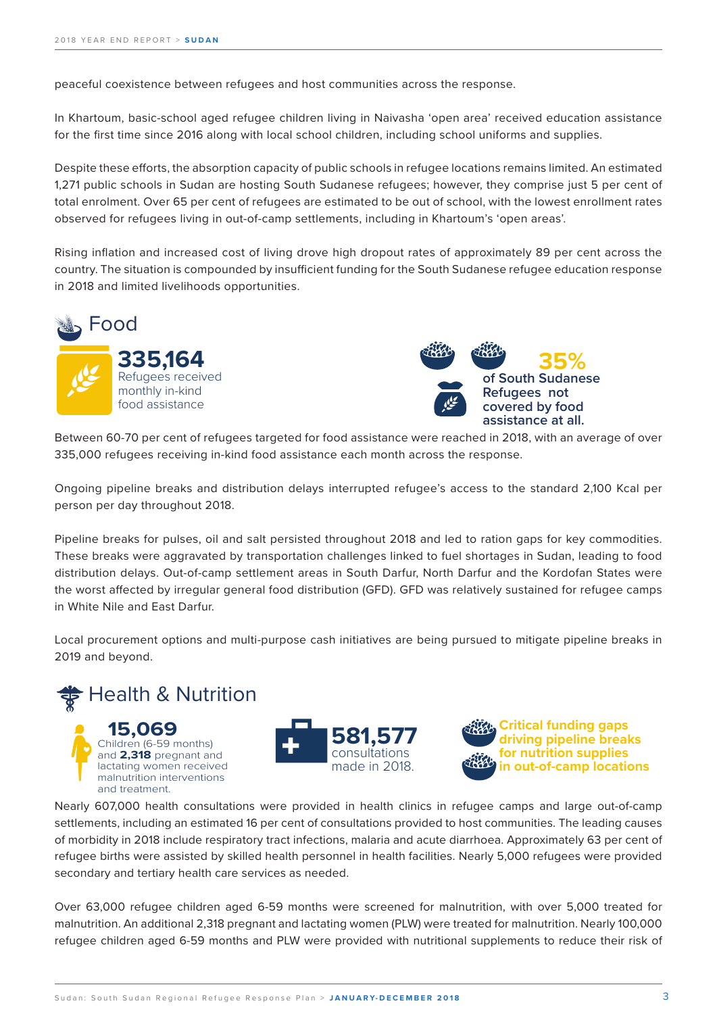**Sudan: 2018 End Year Report**

peaceful coexistence between refugees and host communities across the response.

In Khartoum, basic-school aged refugee children living in Naivasha 'open area' received education assistance for the first time since 2016 along with local school children, including school uniforms and supplies.<br> **SADPS** 

observed for refugees living in out-of-camp settlements, including in Khartoum's 'open areas'. .<br>Despite these efforts, the absorption capacity of public schools in refugee locations remains limited. An estimated expect these enorgy, the absorption eapachy or pablic sensor.<br>271 public schools in Sudan are hosting South Sudanese re total enrolment. Over 65 per cent of refugees are estimated to be out of school, with the lowest enrollment rates **b** south sudditiese reluge **capacity remains low**  1,271 public schools in Sudan are hosting South Sudanese refugees; however, they comprise just 5 per cent of

wat inflation and increased cost of living drove high dropout rates of Rising inflation and increased cost of living drove high dropout rates of country. The situation is compounded by insufficient funding for the South Sudanese refugee education response ocality: The Statellie<br>In 2019 and limited in 2018 and limited livelihoods opportunities.<br>**Supports** ve nign dropout rates of a only **33%** Rising inflation and increased cost of living drove high dropout rates of approximately 89 per cent across the





Between being the bent of relation and getter for rood assistance were reasoned in 2018.<br>335,000 refugees receiving in-kind food assistance each month across the response. متعدد حدة المسابق المسابق على معتقدة المسابق .<br>Between 60-70 per cent of refugees targeted for food assistance were reached in 2018, with an average of over s targeted for food assistance **v** 

Ongoing pipeline breaks and distribution delays interrupted refugee's access to the standard 2,100 Kcal per person per day throughout 2018. lactating women received EDUCATION s interrupted refugee's access to the standard

distribution delays. Out-of-camp settlement areas in South Darfur, North Darfur and the Kordofan States were rribution (م the worst affected by irregular general food distribution (GFD). GFD was relatively sustained for refugee camps<br>in White Nile and East Darfur in White Nile and East Darfur.<br>**3** Pipeline breaks for pulses, oil and salt persisted throughout 2018 and led to ration gaps for key commodities. These breaks were aggravated by transportation challenges linked to fuel shortages in Sudan, leading to food ipeline breaks for pulses, oil and salt persisted throughout 2018 and led to ration gaps for k

Local procurement options and multi-purpose cash initiatives are being pursued to mitigate pipeline breaks in 2019 and beyond. **of South Sudanese Red to mitigate p** 







areas with a reasonable to the control of the control of the control of the control of the control of the control of the control of the control of the control of the control of the control of the control of the control of

Nearly 607,000 health consultations were provided in health clinics in refugee camps and large out-of-camp<br>المصطلح المساحة المساحة المساحة المساحة المساحة المساحة المساحة المساحة المساحة المساحة المساحة المساحة المساح **22 CONSTRUCTED** TO THE CONSTRUCT OF THE CONSTRUCT OF THE CONSTRUCT OF THE CONSTRUCT OF THE CONSTRUCT OF THE CONSTRUCT OF THE CONSTRUCT OF THE CONSTRUCT OF THE CONSTRUCT OF THE CONSTRUCT OF THE CONSTRUCT OF THE CONSTRUCT O of morbidity in 2018 include respiratory tract infections, malaria and acute diarrhoea. Approximately 63 per cent of<br>refugee births were assisted by skilled health personnel in health facilities. Nearly 5,000 refugees were secondary and tertiary health care services as needed. of refugee settlements, including an estimated 16 per cent of consultations provided to host communities. The leading causes hectares assisted by skilled health personnel in health facilities. Nearly 5,000 refugees were provi<br>References

o activative to the terminism of the terminism of the terminism of the terminism of the terminism of the termin<br>The screen and the terminism over the terminism of terminism of the terminism of terminism over the terminism mamamion: An daditional 2,510 pregnant and lactually women (i EW) were dedication mamamion: Nearly 100,000<br>refugee children aged 6-59 months and PLW were provided with nutritional supplements to reduce their risk of Over 63,000 refugee children aged 6-59 months were screened for malnutrition, with over 5,000 treated for malnutrition. An additional 2,318 pregnant and lactating women (PLW) were treated for malnutrition. Nearly 100,000

construction in the construction of the construction in the construction of the construction in the construction of the construction in the construction of the construction of the construction of the construction of the co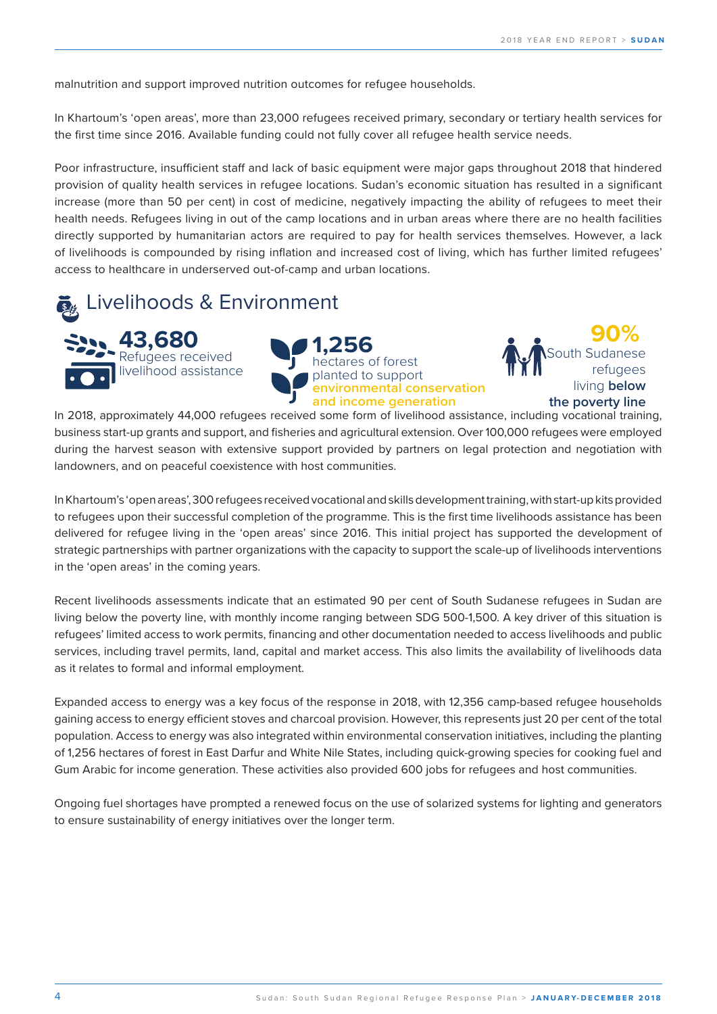malnutrition and support improved nutrition outcomes for refugee households.

In Khartoum's 'open areas', more than 23,000 refugees received primary, secondary or tertiary health services for **335,164** the first time since 2016. Available funding could not fully cover all refugee health service needs.<br>' 's 'open areas', more than 23,000 refugees received primary, secondary or tertiary heal<sup>.</sup> **of teruary riearch**.<br>Les suites sudants

**Strategic Plan** (2019-2023)

Poor infrastructure, insufficient staff and lack of basic equipment were major gaps throughout 2018 that hindered provision of quality health services in refugee locations. Sudan's economic situation has resulted in a significant increase (more than 50 per cent) in cost of medicine, negatively impacting the ability of refugees to meet their health needs. Refugees living in out of the camp locations and in urban areas where there are no health facilities<br>directly supported by humanitarian actors are required to pay for health services themselves. However, a la directly supported by humanitarian actors are required to pay for health services themselves. However, a lack of livelihoods is compounded by rising inflation and increased cost of living, which has further limited refugees' access to healthcare in underserved out-of-camp and urban locations. to nealtricare in underse made in 2018.<br>In 2018 in 2019 in 2019. **in out-of-camp locations**

Livelihoods & Environment





**90%**  South Sudanese refugees living **below the poverty line**

business start-up grants and support, and fisheries and agricultural extension. Over 100,000 refugees were employed during the harvest season with extensive support provided by partners on legal protection and negotiation with<br>landowners, and on peaceful coexistence with host communities. arvest se<br>and on p rdowners, and on pedecidi ce during the harvest season with extensive support provided by p<br>landowners, and on peaceful coexistence with host communities. In 2018, approximately 44,000 refugees received some form of livelihood assistance, including vocational training,

WATER, SANITATION AND HYGIENE in the 'open areas' in the coming years. , with start-up ki<mark>t</mark> **access to be accredited to the providing of the programme. This is the first time livelihoods assisted adequate shelter** delivered for refugee living in the 'open areas' since 2016. This initial project has supported the development of In Khartoum's 'open areas', 300 refugees received vocational and skills development training, with start-up kits provided<br>In Khartoum's 'open areas', 300 refugees received vocational and skills development training, with s to refugees upon their successful completion of the programme. This is the first time livelihoods assistance has been<br>. strategic partnerships with partner organizations with the capacity to support the scale-up of livelihoods interventions

**2** hafirs constructed Recent livelihoods assessments indicate that an estimated 90 per cent of South Sudanese refugees in Sudan are<br>Iiving below the poverty line with monthly income ranging between SDG 500-1.500. A key driver of this situation living below the poverty line, with monthly income ranging between SDG 500-1,500. A key driver of this situation is refugees' limited access to work permits, financing and other documentation needed to access livelihoods and public refugees immediaceess to work permits, imaneing and other docamentation necated to access inclineous and pashe<br>services, including travel permits, land, capital and market access. This also limits the availability of livel as it relates to formal and informal employment.

Expanded access to energy was a key focus of the response in 2018, with 12,356 camp-based refugee households gaining access to energy efficient stoves and charcoal provision. However, this represents just 20 per cent of the total population. Access to energy was also integrated within environmental conservation initiatives, including the planting of 1,256 hectares of forest in East Darfur and White Nile States, including quick-growing species for cooking fuel and Gum Arabic for income generation. These activities also provided 600 jobs for refugees and host communities.

Ongoing fuel shortages have prompted a renewed focus on the use of solarized systems for lighting and generators to ensure sustainability of energy initiatives over the longer term.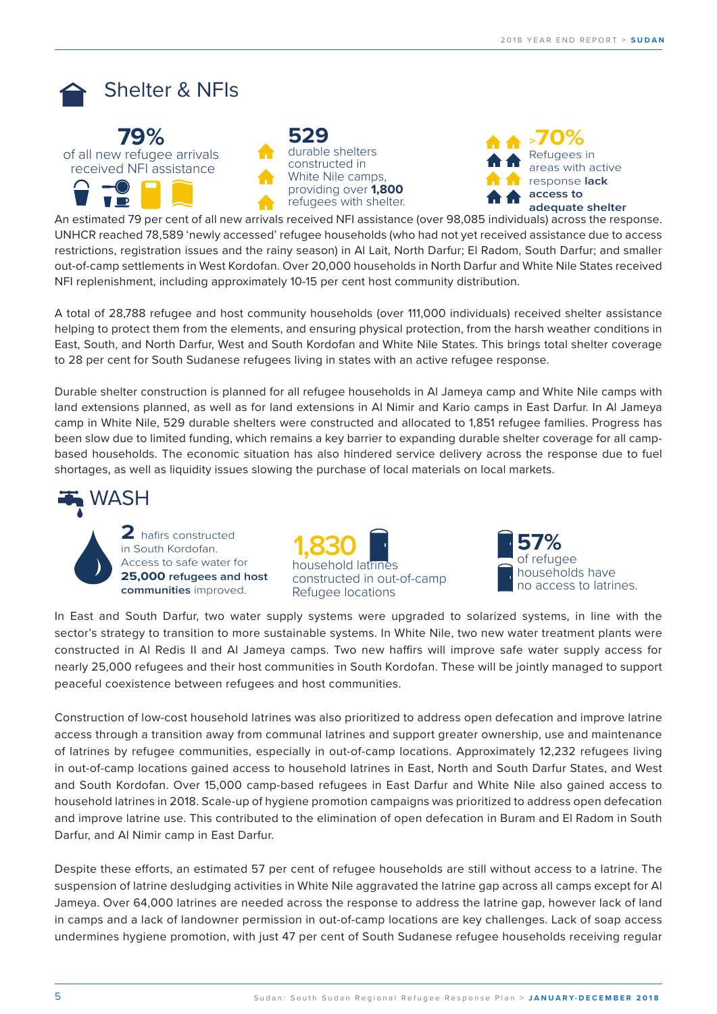

**15,069** The Children Children (6-59 months)

livelihood assistance



**>70%** Refugees in areas with active **Critical functions ack driving pipeline breaks b assistance at all.** 

UNHCR reached 78,589 'newly accessed' refugee households (who had not yet received assistance due to access **adequate shelter 2 p** settlements in West k **1.830 • Comprehensive in Account Community Community Community distribution.**<br> **NFI replenishment, including approximately 10-15 per cent host community distribution.** out-of-camp settlements in West Kordofan. Over 20,000 households in North Darfur and White Nile States received<br>NFI replenishment, including approximately 10-15 per cent host community distribution. adequate shelter<br>An estimated 79 per cent of all new arrivals received NFI assistance (over 98,085 individuals) across the response. erm chrossines registration issues and the rainy season) in Al Lait, North Darfur; El Radom, South Darfur; and smaller restrictions, registration issues and the rainy season) in Al Lait, North Darfur; El Radom, South Darfu ated 79 per cent of all new arrivals received NFI assistance (over 98,085 individuals) across the respo

planted to support the support of the support of the support of the support of the support of the support of t<br>In the support of the support of the support of the support of the support of the support of the support of th

28,788 refugee and host con helping to protect them from the elements, and ensuring physical protection, from the harsh weather conditions in household latrines A total of 28,788 refugee and host community households (over 111,000 individuals) received shelter assistance<br>. East, South, and North Darfur, West and South Kordofan and White Nile States. This brings total shelter coverage **environmental conservation** living **below the 28** per cent for South Sudanese refugees living in states with an active refugee response. 788 refugee and host community households (over 111,000 individuals) received shelter assis

Miranda Gaanderse, Liaison Ocer, gaanders@unhcr.org; Aung Thu Win, IM Ocer, wina@unhcr.org

Durable shelter construction is planned for all refugee households in AI Jameya camp and White Nile camps with land extensions planned, as well as for land extensions in Al Nimir and Kario camps in East Darfur. In Al Jameya<br> **James in White Nils, E20 durable abelians were constructed and ellected to 1954 refugee families. Decreese** camp in White Nile, 529 durable shelters were constructed and allocated to 1,851 refugee families. Progress has been slow due to limited funding, which remains a key barrier to expanding durable shelter coverage for all campbased households. The economic situation has also hindered service delivery across the response due to fuel shortages, as well as liquidity issues slowing the purchase of local materials on local markets. **access**<br>access to ialis a Key Darriel i has also hindered **1** 



**1,830**  household latrines constructed in out-of-camp Refugee locations



In East and South Darfur, two water supply systems were upgraded to solarized systems, in line with the sector's strategy to transition to more sustainable systems. In White Nile, two new water treatment plants were constructed in Al Redis II and Al Jameya camps. Two new haffirs will improve safe water supply access for nearly 25,000 refugees and their host communities in South Kordofan. These will be jointly managed to support peaceful coexistence between refugees and host communities.

Construction of low-cost household latrines was also prioritized to address open defecation and improve latrine access through a transition away from communal latrines and support greater ownership, use and maintenance of latrines by refugee communities, especially in out-of-camp locations. Approximately 12,232 refugees living in out-of-camp locations gained access to household latrines in East, North and South Darfur States, and West and South Kordofan. Over 15,000 camp-based refugees in East Darfur and White Nile also gained access to household latrines in 2018. Scale-up of hygiene promotion campaigns was prioritized to address open defecation and improve latrine use. This contributed to the elimination of open defecation in Buram and El Radom in South Darfur, and Al Nimir camp in East Darfur.

Despite these efforts, an estimated 57 per cent of refugee households are still without access to a latrine. The suspension of latrine desludging activities in White Nile aggravated the latrine gap across all camps except for Al Jameya. Over 64,000 latrines are needed across the response to address the latrine gap, however lack of land in camps and a lack of landowner permission in out-of-camp locations are key challenges. Lack of soap access undermines hygiene promotion, with just 47 per cent of South Sudanese refugee households receiving regular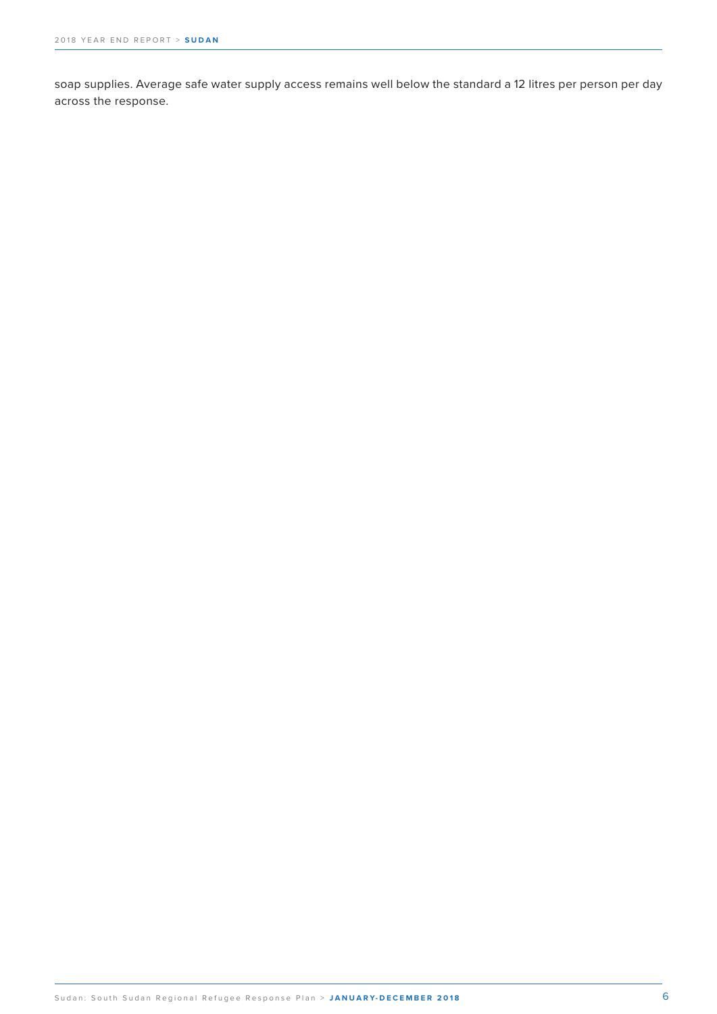soap supplies. Average safe water supply access remains well below the standard a 12 litres per person per day across the response.